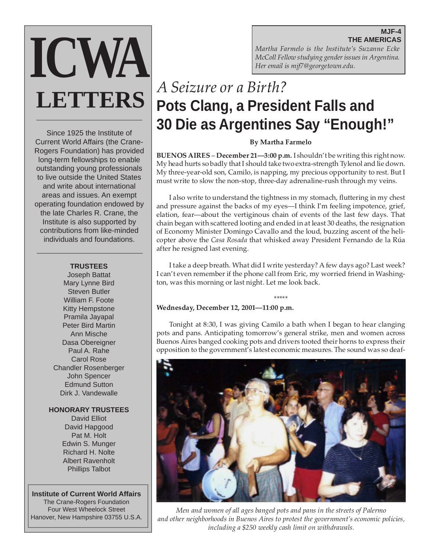**MJF-4 THE AMERICAS**

*Martha Farmelo is the Institute's Suzanne Ecke McColl Fellow studying gender issues in Argentina. Her email is mjf7@georgetown.edu.*

# *A Seizure or a Birth?* **Pots Clang, a President Falls and 30 Die as Argentines Say "Enough!"**

## **By Martha Farmelo**

**BUENOS AIRES** – **December 21—3:00 p.m.** I shouldn't be writing this right now. My head hurts so badly that I should take two extra-strength Tylenol and lie down. My three-year-old son, Camilo, is napping, my precious opportunity to rest. But I must write to slow the non-stop, three-day adrenaline-rush through my veins.

I also write to understand the tightness in my stomach, fluttering in my chest and pressure against the backs of my eyes—I think I'm feeling impotence, grief, elation, fear—about the vertiginous chain of events of the last few days. That chain began with scattered looting and ended in at least 30 deaths, the resignation of Economy Minister Domingo Cavallo and the loud, buzzing ascent of the helicopter above the *Casa Rosada* that whisked away President Fernando de la Rúa after he resigned last evening.

I take a deep breath. What did I write yesterday? A few days ago? Last week? I can't even remember if the phone call from Eric, my worried friend in Washington, was this morning or last night. Let me look back.

#### \*\*\*\*\* **Wednesday, December 12, 2001—11:00 p.m.**

Tonight at 8:30, I was giving Camilo a bath when I began to hear clanging pots and pans. Anticipating tomorrow's general strike, men and women across Buenos Aires banged cooking pots and drivers tooted their horns to express their opposition to the government's latest economic measures. The sound was so deaf-



*Men and women of all ages banged pots and pans in the streets of Palermo and other neighborhoods in Buenos Aires to protest the government's economic policies, including a \$250 weekly cash limit on withdrawals.*

Since 1925 the Institute of Current World Affairs (the Crane-Rogers Foundation) has provided long-term fellowships to enable outstanding young professionals to live outside the United States and write about international areas and issues. An exempt operating foundation endowed by the late Charles R. Crane, the Institute is also supported by contributions from like-minded individuals and foundations.

**ICWA**

**LETTERS**

#### **TRUSTEES**

Joseph Battat Mary Lynne Bird Steven Butler William F. Foote Kitty Hempstone Pramila Jayapal Peter Bird Martin Ann Mische Dasa Obereigner Paul A. Rahe Carol Rose Chandler Rosenberger John Spencer Edmund Sutton Dirk J. Vandewalle

**HONORARY TRUSTEES**

David Elliot David Hapgood Pat M. Holt Edwin S. Munger Richard H. Nolte Albert Ravenholt Phillips Talbot

**Institute of Current World Affairs** The Crane-Rogers Foundation Four West Wheelock Street Hanover, New Hampshire 03755 U.S.A.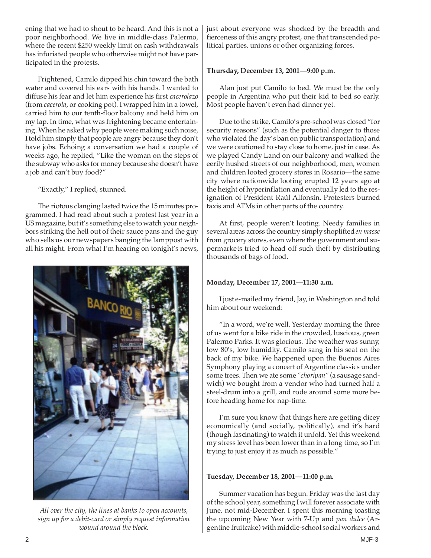ening that we had to shout to be heard. And this is not a poor neighborhood. We live in middle-class Palermo, where the recent \$250 weekly limit on cash withdrawals has infuriated people who otherwise might not have participated in the protests.

Frightened, Camilo dipped his chin toward the bath water and covered his ears with his hands. I wanted to diffuse his fear and let him experience his first *cacerolazo* (from *cacerola*, or cooking pot). I wrapped him in a towel, carried him to our tenth-floor balcony and held him on my lap. In time, what was frightening became entertaining. When he asked why people were making such noise, I told him simply that people are angry because they don't have jobs. Echoing a conversation we had a couple of weeks ago, he replied, "Like the woman on the steps of the subway who asks for money because she doesn't have a job and can't buy food?"

"Exactly," I replied, stunned.

The riotous clanging lasted twice the 15 minutes programmed. I had read about such a protest last year in a US magazine, but it's something else to watch your neighbors striking the hell out of their sauce pans and the guy who sells us our newspapers banging the lamppost with all his might. From what I'm hearing on tonight's news,



*All over the city, the lines at banks to open accounts, sign up for a debit-card or simply request information wound around the block.*

just about everyone was shocked by the breadth and fierceness of this angry protest, one that transcended political parties, unions or other organizing forces.

## **Thursday, December 13, 2001—9:00 p.m.**

Alan just put Camilo to bed. We must be the only people in Argentina who put their kid to bed so early. Most people haven't even had dinner yet.

Due to the strike, Camilo's pre-school was closed "for security reasons" (such as the potential danger to those who violated the day's ban on public transportation) and we were cautioned to stay close to home, just in case. As we played Candy Land on our balcony and walked the eerily hushed streets of our neighborhood, men, women and children looted grocery stores in Rosario—the same city where nationwide looting erupted 12 years ago at the height of hyperinflation and eventually led to the resignation of President Raúl Alfonsín. Protesters burned taxis and ATMs in other parts of the country.

At first, people weren't looting. Needy families in several areas across the country simply shoplifted *en masse* from grocery stores, even where the government and supermarkets tried to head off such theft by distributing thousands of bags of food.

# **Monday, December 17, 2001—11:30 a.m.**

I just e-mailed my friend, Jay, in Washington and told him about our weekend:

"In a word, we're well. Yesterday morning the three of us went for a bike ride in the crowded, luscious, green Palermo Parks. It was glorious. The weather was sunny, low 80's, low humidity. Camilo sang in his seat on the back of my bike. We happened upon the Buenos Aires Symphony playing a concert of Argentine classics under some trees. Then we ate some *"choripan"* (a sausage sandwich) we bought from a vendor who had turned half a steel-drum into a grill, and rode around some more before heading home for nap-time.

I'm sure you know that things here are getting dicey economically (and socially, politically), and it's hard (though fascinating) to watch it unfold. Yet this weekend my stress level has been lower than in a long time, so I'm trying to just enjoy it as much as possible."

# **Tuesday, December 18, 2001—11:00 p.m.**

Summer vacation has begun. Friday was the last day of the school year, something I will forever associate with June, not mid-December. I spent this morning toasting the upcoming New Year with 7-Up and *pan dulce* (Argentine fruitcake) with middle-school social workers and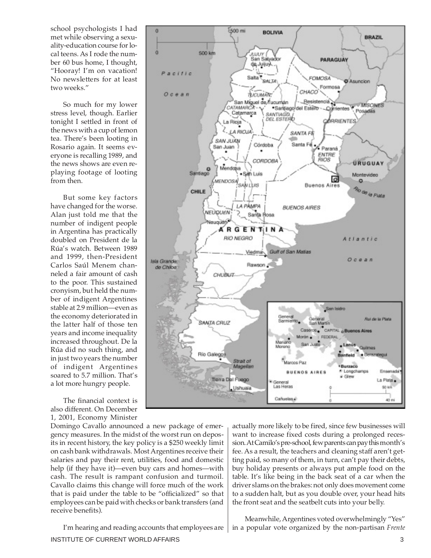school psychologists I had met while observing a sexuality-education course for local teens. As I rode the number 60 bus home, I thought, "Hooray! I'm on vacation! No newsletters for at least two weeks."

So much for my lower stress level, though. Earlier tonight I settled in front of the news with a cup of lemon tea. There's been looting in Rosario again. It seems everyone is recalling 1989, and the news shows are even replaying footage of looting from then.

But some key factors have changed for the worse. Alan just told me that the number of indigent people in Argentina has practically doubled on President de la Rúa's watch. Between 1989 and 1999, then-President Carlos Saúl Menem channeled a fair amount of cash to the poor. This sustained cronyism, but held the number of indigent Argentines stable at 2.9 million—even as the economy deteriorated in the latter half of those ten years and income inequality increased throughout. De la Rúa did no such thing, and in just two years the number of indigent Argentines soared to 5.7 million. That's a lot more hungry people.

The financial context is also different. On December 1, 2001, Economy Minister



Domingo Cavallo announced a new package of emergency measures. In the midst of the worst run on deposits in recent history, the key policy is a \$250 weekly limit on cash bank withdrawals. Most Argentines receive their salaries and pay their rent, utilities, food and domestic help (if they have it)—even buy cars and homes—with cash. The result is rampant confusion and turmoil. Cavallo claims this change will force much of the work that is paid under the table to be "officialized" so that employees can be paid with checks or bank transfers (and receive benefits).

INSTITUTE OF CURRENT WORLD AFFAIRS 3 I'm hearing and reading accounts that employees are

actually more likely to be fired, since few businesses will want to increase fixed costs during a prolonged recession. At Camilo's pre-school, few parents can pay this month's fee. As a result, the teachers and cleaning staff aren't getting paid, so many of them, in turn, can't pay their debts, buy holiday presents or always put ample food on the table. It's like being in the back seat of a car when the driver slams on the brakes: not only does movement come to a sudden halt, but as you double over, your head hits the front seat and the seatbelt cuts into your belly.

Meanwhile, Argentines voted overwhelmingly "Yes" in a popular vote organized by the non-partisan *Frente*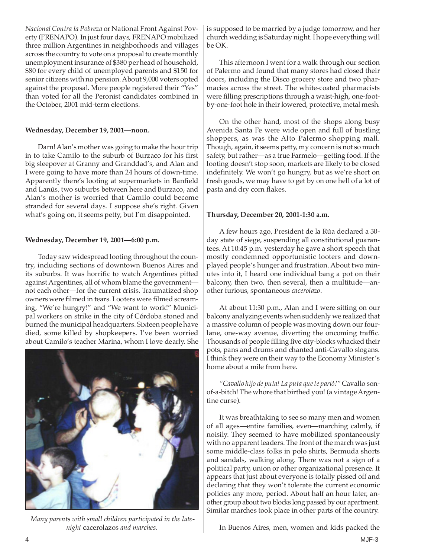*Nacional Contra la Pobreza* or National Front Against Poverty (FRENAPO). In just four days, FRENAPO mobilized three million Argentines in neighborhoods and villages across the country to vote on a proposal to create monthly unemployment insurance of \$380 per head of household, \$80 for every child of unemployed parents and \$150 for senior citizens with no pension. About 9,000 voters opted against the proposal. More people registered their "Yes" than voted for all the Peronist candidates combined in the October, 2001 mid-term elections.

### **Wednesday, December 19, 2001—noon.**

Darn! Alan's mother was going to make the hour trip in to take Camilo to the suburb of Burzaco for his first big sleepover at Granny and Granddad's, and Alan and I were going to have more than 24 hours of down-time. Apparently there's looting at supermarkets in Banfield and Lanús, two suburbs between here and Burzaco, and Alan's mother is worried that Camilo could become stranded for several days. I suppose she's right. Given what's going on, it seems petty, but I'm disappointed.

### **Wednesday, December 19, 2001—6:00 p.m.**

Today saw widespread looting throughout the country, including sections of downtown Buenos Aires and its suburbs. It was horrific to watch Argentines pitted against Argentines, all of whom blame the government not each other—for the current crisis. Traumatized shop owners were filmed in tears. Looters were filmed screaming, "We're hungry!" and "We want to work!" Municipal workers on strike in the city of Córdoba stoned and burned the municipal headquarters. Sixteen people have died, some killed by shopkeepers. I've been worried about Camilo's teacher Marina, whom I love dearly. She



 *Many parents with small children participated in the latenight* cacerolazos *and marches.*

is supposed to be married by a judge tomorrow, and her church wedding is Saturday night. I hope everything will be OK.

This afternoon I went for a walk through our section of Palermo and found that many stores had closed their doors, including the Disco grocery store and two pharmacies across the street. The white-coated pharmacists were filling prescriptions through a waist-high, one-footby-one-foot hole in their lowered, protective, metal mesh.

On the other hand, most of the shops along busy Avenida Santa Fe were wide open and full of bustling shoppers, as was the Alto Palermo shopping mall. Though, again, it seems petty, my concern is not so much safety, but rather—as a true Farmelo—getting food. If the looting doesn't stop soon, markets are likely to be closed indefinitely. We won't go hungry, but as we're short on fresh goods, we may have to get by on one hell of a lot of pasta and dry corn flakes.

#### **Thursday, December 20, 2001-1:30 a.m.**

A few hours ago, President de la Rúa declared a 30 day state of siege, suspending all constitutional guarantees. At 10:45 p.m. yesterday he gave a short speech that mostly condemned opportunistic looters and downplayed people's hunger and frustration. About two minutes into it, I heard one individual bang a pot on their balcony, then two, then several, then a multitude—another furious, spontaneous *cacerolazo*.

At about 11:30 p.m., Alan and I were sitting on our balcony analyzing events when suddenly we realized that a massive column of people was moving down our fourlane, one-way avenue, diverting the oncoming traffic. Thousands of people filling five city-blocks whacked their pots, pans and drums and chanted anti-Cavallo slogans. I think they were on their way to the Economy Minister's home about a mile from here.

*"Cavallo hijo de puta! La puta que te parió!"* Cavallo sonof-a-bitch! The whore that birthed you! (a vintage Argentine curse).

It was breathtaking to see so many men and women of all ages—entire families, even—marching calmly, if noisily. They seemed to have mobilized spontaneously with no apparent leaders. The front of the march was just some middle-class folks in polo shirts, Bermuda shorts and sandals, walking along. There was not a sign of a political party, union or other organizational presence. It appears that just about everyone is totally pissed off and declaring that they won't tolerate the current economic policies any more, period. About half an hour later, another group about two blocks long passed by our apartment. Similar marches took place in other parts of the country.

In Buenos Aires, men, women and kids packed the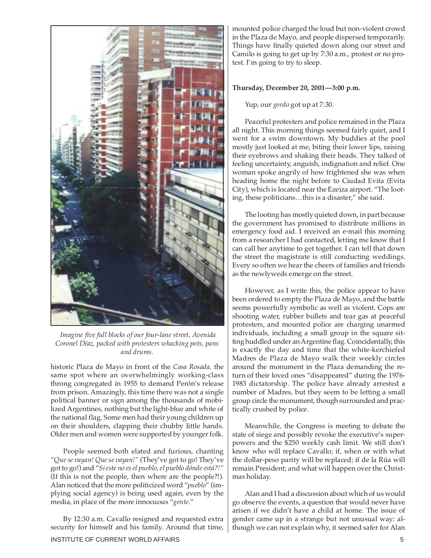

 *Imagine five full blocks of our four-lane street, Avenida Coronel Díaz, packed with protesters whacking pots, pans and drums.*

historic Plaza de Mayo in front of the *Casa Rosada,* the same spot where an overwhelmingly working-class throng congregated in 1955 to demand Perón's release from prison. Amazingly, this time there was not a single political banner or sign among the thousands of mobilized Argentines, nothing but the light-blue and white of the national flag. Some men had their young children up on their shoulders, clapping their chubby little hands. Older men and women were supported by younger folk.

People seemed both elated and furious, chanting "*Que se vayan! Que se vayan!"* (They've got to go! They've got to go!) and "*Si este no es el pueblo, el pueblo dónde está?!"* (If this is not the people, then where are the people?!). Alan noticed that the more politicized word "*pueblo*" (implying social agency) is being used again, even by the media, in place of the more innocuous "*gente*."

INSTITUTE OF CURRENT WORLD AFFAIRS **5** By 12:30 a.m. Cavallo resigned and requested extra security for himself and his family. Around that time,

mounted police charged the loud but non-violent crowd in the Plaza de Mayo, and people dispersed temporarily. Things have finally quieted down along our street and Camilo is going to get up by 7:30 a.m., protest or no protest. I'm going to try to sleep.

#### **Thursday, December 20, 2001—3:00 p.m.**

Yup, our *gordo* got up at 7:30.

Peaceful protesters and police remained in the Plaza all night. This morning things seemed fairly quiet, and I went for a swim downtown. My buddies at the pool mostly just looked at me, biting their lower lips, raising their eyebrows and shaking their heads. They talked of feeling uncertainty, anguish, indignation and relief. One woman spoke angrily of how frightened she was when heading home the night before to Ciudad Evita (Evita City), which is located near the Ezeiza airport. "The looting, these politicians…this is a disaster," she said.

The looting has mostly quieted down, in part because the government has promised to distribute millions in emergency food aid. I received an e-mail this morning from a researcher I had contacted, letting me know that I can call her anytime to get together. I can tell that down the street the magistrate is still conducting weddings. Every so often we hear the cheers of families and friends as the newlyweds emerge on the street.

However, as I write this, the police appear to have been ordered to empty the Plaza de Mayo, and the battle seems powerfully symbolic as well as violent. Cops are shooting water, rubber bullets and tear gas at peaceful protesters, and mounted police are charging unarmed individuals, including a small group in the square sitting huddled under an Argentine flag. Coincidentally, this is exactly the day and time that the white-kerchiefed Madres de Plaza de Mayo walk their weekly circles around the monument in the Plaza demanding the return of their loved ones "disappeared" during the 1976- 1983 dictatorship. The police have already arrested a number of Madres, but they seem to be letting a small group circle the monument, though surrounded and practically crushed by police.

Meanwhile, the Congress is meeting to debate the state of siege and possibly revoke the executive's superpowers and the \$250 weekly cash limit. We still don't know who will replace Cavallo; if, when or with what the dollar-peso parity will be replaced; if de la Rúa will remain President; and what will happen over the Christmas holiday.

Alan and I had a discussion about which of us would go observe the events, a question that would never have arisen if we didn't have a child at home. The issue of gender came up in a strange but not unusual way: although we can not explain why, it seemed safer for Alan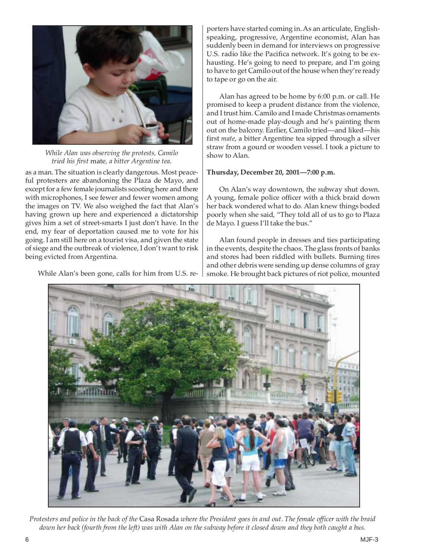

*While Alan was observing the protests, Camilo tried his first* mate*, a bitter Argentine tea*.

as a man. The situation is clearly dangerous. Most peaceful protesters are abandoning the Plaza de Mayo, and except for a few female journalists scooting here and there with microphones, I see fewer and fewer women among the images on TV. We also weighed the fact that Alan's having grown up here and experienced a dictatorship gives him a set of street-smarts I just don't have. In the end, my fear of deportation caused me to vote for his going. I am still here on a tourist visa, and given the state of siege and the outbreak of violence, I don't want to risk being evicted from Argentina.

While Alan's been gone, calls for him from U.S. re-

porters have started coming in. As an articulate, Englishspeaking, progressive, Argentine economist, Alan has suddenly been in demand for interviews on progressive U.S. radio like the Pacifica network. It's going to be exhausting. He's going to need to prepare, and I'm going to have to get Camilo out of the house when they're ready to tape or go on the air.

Alan has agreed to be home by 6:00 p.m. or call. He promised to keep a prudent distance from the violence, and I trust him. Camilo and I made Christmas ornaments out of home-made play-dough and he's painting them out on the balcony. Earlier, Camilo tried—and liked—his first *mate*, a bitter Argentine tea sipped through a silver straw from a gourd or wooden vessel*.* I took a picture to show to Alan.

### **Thursday, December 20, 2001—7:00 p.m.**

On Alan's way downtown, the subway shut down. A young, female police officer with a thick braid down her back wondered what to do. Alan knew things boded poorly when she said, "They told all of us to go to Plaza de Mayo. I guess I'll take the bus."

Alan found people in dresses and ties participating in the events, despite the chaos. The glass fronts of banks and stores had been riddled with bullets. Burning tires and other debris were sending up dense columns of gray smoke. He brought back pictures of riot police, mounted



*Protesters and police in the back of the* Casa Rosada *where the President goes in and out*. *The female officer with the braid down her back (fourth from the left) was with Alan on the subway before it closed down and they both caught a bus.*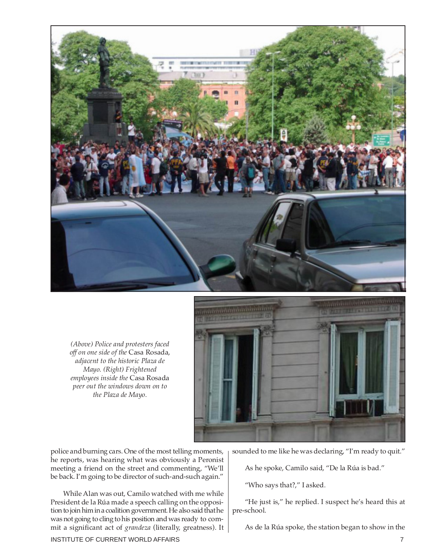

*(Above) Police and protesters faced off on one side of the* Casa Rosada, *adjacent to the historic Plaza de Mayo. (Right) Frightened employees inside the* Casa Rosada *peer out the windows down on to the Plaza de Mayo.*



police and burning cars. One of the most telling moments, he reports, was hearing what was obviously a Peronist meeting a friend on the street and commenting, "We'll be back. I'm going to be director of such-and-such again."

While Alan was out, Camilo watched with me while President de la Rúa made a speech calling on the opposition to join him in a coalition government. He also said that he was not going to cling to his position and was ready to commit a significant act of *grandeza* (literally, greatness). It sounded to me like he was declaring, "I'm ready to quit."

As he spoke, Camilo said, "De la Rúa is bad."

"Who says that?," I asked.

"He just is," he replied. I suspect he's heard this at pre-school.

As de la Rúa spoke, the station began to show in the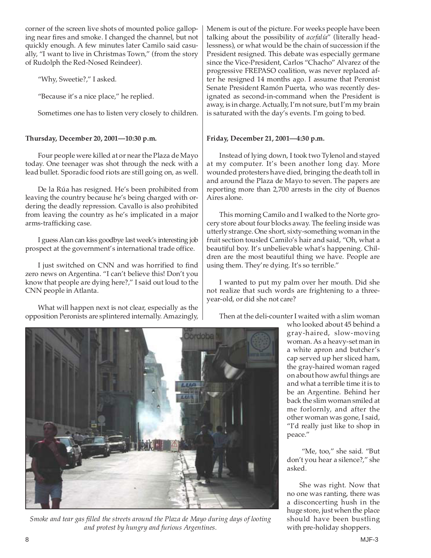corner of the screen live shots of mounted police galloping near fires and smoke. I changed the channel, but not quickly enough. A few minutes later Camilo said casually, "I want to live in Christmas Town," (from the story of Rudolph the Red-Nosed Reindeer).

"Why, Sweetie?," I asked.

"Because it's a nice place," he replied.

Sometimes one has to listen very closely to children.

# **Thursday, December 20, 2001—10:30 p.m.**

Four people were killed at or near the Plaza de Mayo today. One teenager was shot through the neck with a lead bullet. Sporadic food riots are still going on, as well.

De la Rúa has resigned. He's been prohibited from leaving the country because he's being charged with ordering the deadly repression. Cavallo is also prohibited from leaving the country as he's implicated in a major arms-trafficking case.

I guess Alan can kiss goodbye last week's interesting job prospect at the government's international trade office.

I just switched on CNN and was horrified to find zero news on Argentina. "I can't believe this! Don't you know that people are dying here?," I said out loud to the CNN people in Atlanta.

What will happen next is not clear, especially as the opposition Peronists are splintered internally. Amazingly, Menem is out of the picture. For weeks people have been talking about the possibility of *acefalía*" (literally headlessness), or what would be the chain of succession if the President resigned. This debate was especially germane since the Vice-President, Carlos "Chacho" Alvarez of the progressive FREPASO coalition, was never replaced after he resigned 14 months ago. I assume that Peronist Senate President Ramón Puerta, who was recently designated as second-in-command when the President is away, is in charge. Actually, I'm not sure, but I'm my brain is saturated with the day's events. I'm going to bed.

## **Friday, December 21, 2001—4:30 p.m.**

Instead of lying down, I took two Tylenol and stayed at my computer. It's been another long day. More wounded protesters have died, bringing the death toll in and around the Plaza de Mayo to seven. The papers are reporting more than 2,700 arrests in the city of Buenos Aires alone.

This morning Camilo and I walked to the Norte grocery store about four blocks away. The feeling inside was utterly strange. One short, sixty-something woman in the fruit section tousled Camilo's hair and said, "Oh, what a beautiful boy. It's unbelievable what's happening. Children are the most beautiful thing we have. People are using them. They're dying. It's so terrible."

I wanted to put my palm over her mouth. Did she not realize that such words are frightening to a threeyear-old, or did she not care?

Then at the deli-counter I waited with a slim woman

who looked about 45 behind a gray-haired, slow-moving woman. As a heavy-set man in a white apron and butcher's cap served up her sliced ham, the gray-haired woman raged on about how awful things are and what a terrible time it is to be an Argentine. Behind her back the slim woman smiled at me forlornly, and after the other woman was gone, I said, "I'd really just like to shop in peace."

"Me, too," she said. "But don't you hear a silence?," she asked.

She was right. Now that no one was ranting, there was a disconcerting hush in the huge store, just when the place should have been bustling with pre-holiday shoppers.

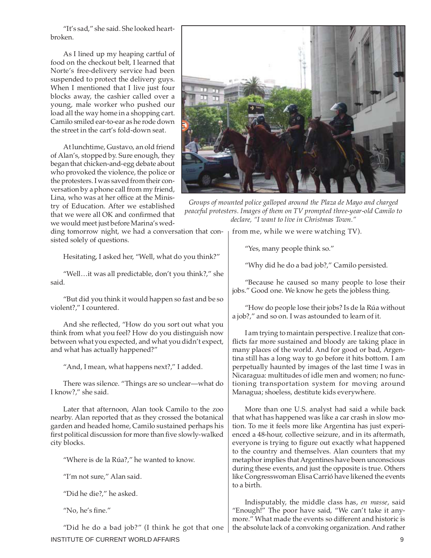"It's sad," she said. She looked heartbroken.

As I lined up my heaping cartful of food on the checkout belt, I learned that Norte's free-delivery service had been suspended to protect the delivery guys. When I mentioned that I live just four blocks away, the cashier called over a young, male worker who pushed our load all the way home in a shopping cart. Camilo smiled ear-to-ear as he rode down the street in the cart's fold-down seat.

At lunchtime, Gustavo, an old friend of Alan's, stopped by. Sure enough, they began that chicken-and-egg debate about who provoked the violence, the police or the protesters. I was saved from their conversation by a phone call from my friend, Lina, who was at her office at the Ministry of Education. After we established that we were all OK and confirmed that we would meet just before Marina's wed-

ding tomorrow night, we had a conversation that consisted solely of questions.

Hesitating, I asked her, "Well, what do you think?"

"Well…it was all predictable, don't you think?," she said.

"But did you think it would happen so fast and be so violent?," I countered.

And she reflected, "How do you sort out what you think from what you feel? How do you distinguish now between what you expected, and what you didn't expect, and what has actually happened?"

"And, I mean, what happens next?," I added.

There was silence. "Things are so unclear—what do I know?," she said.

Later that afternoon, Alan took Camilo to the zoo nearby. Alan reported that as they crossed the botanical garden and headed home, Camilo sustained perhaps his first political discussion for more than five slowly-walked city blocks.

"Where is de la Rúa?," he wanted to know.

"I'm not sure," Alan said.

"Did he die?," he asked.

"No, he's fine."

INSTITUTE OF CURRENT WORLD AFFAIRS 9 "Did he do a bad job?" (I think he got that one



*Groups of mounted police galloped around the Plaza de Mayo and charged peaceful protesters. Images of them on TV prompted three-year-old Camilo to declare, "I want to live in Christmas Town."*

from me, while we were watching TV).

"Yes, many people think so."

"Why did he do a bad job?," Camilo persisted.

"Because he caused so many people to lose their jobs." Good one. We know he gets the jobless thing.

"How do people lose their jobs? Is de la Rúa without a job?," and so on. I was astounded to learn of it.

I am trying to maintain perspective. I realize that conflicts far more sustained and bloody are taking place in many places of the world. And for good or bad, Argentina still has a long way to go before it hits bottom. I am perpetually haunted by images of the last time I was in Nicaragua: multitudes of idle men and women; no functioning transportation system for moving around Managua; shoeless, destitute kids everywhere.

More than one U.S. analyst had said a while back that what has happened was like a car crash in slow motion. To me it feels more like Argentina has just experienced a 48-hour, collective seizure, and in its aftermath, everyone is trying to figure out exactly what happened to the country and themselves. Alan counters that my metaphor implies that Argentines have been unconscious during these events, and just the opposite is true. Others like Congresswoman Elisa Carrió have likened the events to a birth.

Indisputably, the middle class has, *en masse*, said "Enough!" The poor have said, "We can't take it anymore." What made the events so different and historic is the absolute lack of a convoking organization. And rather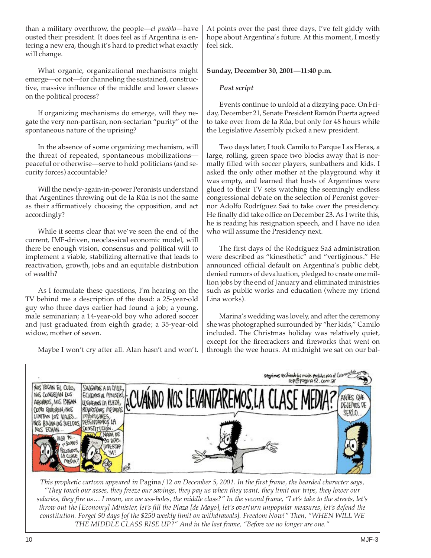than a military overthrow, the people—*el pueblo—*have ousted their president. It does feel as if Argentina is entering a new era, though it's hard to predict what exactly will change.

What organic, organizational mechanisms might emerge—or not—for channeling the sustained, constructive, massive influence of the middle and lower classes on the political process?

If organizing mechanisms do emerge, will they negate the very non-partisan, non-sectarian "purity" of the spontaneous nature of the uprising?

In the absence of some organizing mechanism, will the threat of repeated, spontaneous mobilizations peaceful or otherwise—serve to hold politicians (and security forces) accountable?

Will the newly-again-in-power Peronists understand that Argentines throwing out de la Rúa is not the same as their affirmatively choosing the opposition, and act accordingly?

While it seems clear that we've seen the end of the current, IMF-driven, neoclassical economic model, will there be enough vision, consensus and political will to implement a viable, stabilizing alternative that leads to reactivation, growth, jobs and an equitable distribution of wealth?

As I formulate these questions, I'm hearing on the TV behind me a description of the dead: a 25-year-old guy who three days earlier had found a job; a young, male seminarian; a 14-year-old boy who adored soccer and just graduated from eighth grade; a 35-year-old widow, mother of seven.

Maybe I won't cry after all. Alan hasn't and won't.

At points over the past three days, I've felt giddy with hope about Argentina's future. At this moment, I mostly feel sick.

## **Sunday, December 30, 2001—11:40 p.m.**

### *Post script*

Events continue to unfold at a dizzying pace. On Friday, December 21, Senate President Ramón Puerta agreed to take over from de la Rúa, but only for 48 hours while the Legislative Assembly picked a new president.

Two days later, I took Camilo to Parque Las Heras, a large, rolling, green space two blocks away that is normally filled with soccer players, sunbathers and kids. I asked the only other mother at the playground why it was empty, and learned that hosts of Argentines were glued to their TV sets watching the seemingly endless congressional debate on the selection of Peronist governor Adolfo Rodríguez Saá to take over the presidency. He finally did take office on December 23. As I write this, he is reading his resignation speech, and I have no idea who will assume the Presidency next.

The first days of the Rodríguez Saá administration were described as "kinesthetic" and "vertiginous." He announced official default on Argentina's public debt, denied rumors of devaluation, pledged to create one million jobs by the end of January and eliminated ministries such as public works and education (where my friend Lina works).

Marina's wedding was lovely, and after the ceremony she was photographed surrounded by "her kids," Camilo included. The Christmas holiday was relatively quiet, except for the firecrackers and fireworks that went on through the wee hours. At midnight we sat on our bal-



*This prophetic cartoon appeared in* Pagina/12 *on December 5, 2001. In the first frame, the bearded character says, "They touch our asses, they freeze our savings, they pay us when they want, they limit our trips, they lower our salaries, they fire us… I mean, are we ass-holes, the middle class?" In the second frame, "Let's take to the streets, let's throw out the [Economy] Minister, let's fill the Plaza [de Mayo], let's overturn unpopular measures, let's defend the constitution. Forget 90 days [of the \$250 weekly limit on withdrawals]. Freedom Now!" Then, "WHEN WILL WE THE MIDDLE CLASS RISE UP?" And in the last frame, "Before we no longer are one."*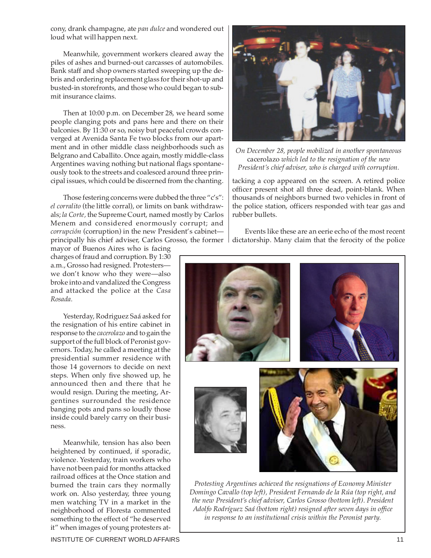cony, drank champagne, ate *pan dulce* and wondered out loud what will happen next.

Meanwhile, government workers cleared away the piles of ashes and burned-out carcasses of automobiles. Bank staff and shop owners started sweeping up the debris and ordering replacement glass for their shot-up and busted-in storefronts, and those who could began to submit insurance claims.

Then at 10:00 p.m. on December 28, we heard some people clanging pots and pans here and there on their balconies. By 11:30 or so, noisy but peaceful crowds converged at Avenida Santa Fe two blocks from our apartment and in other middle class neighborhoods such as Belgrano and Caballito. Once again, mostly middle-class Argentines waving nothing but national flags spontaneously took to the streets and coalesced around three principal issues, which could be discerned from the chanting.

Those festering concerns were dubbed the three "c's": *el corralito* (the little corral), or limits on bank withdrawals; *la Corte,* the Supreme Court, named mostly by Carlos Menem and considered enormously corrupt; and *corrupción* (corruption) in the new President's cabinet principally his chief adviser, Carlos Grosso, the former

mayor of Buenos Aires who is facing charges of fraud and corruption. By 1:30 a.m., Grosso had resigned. Protesters we don't know who they were—also broke into and vandalized the Congress and attacked the police at the *Casa Rosada.*

Yesterday, Rodriguez Saá asked for the resignation of his entire cabinet in response to the *cacerolazo* and to gain the support of the full block of Peronist governors. Today, he called a meeting at the presidential summer residence with those 14 governors to decide on next steps. When only five showed up, he announced then and there that he would resign. During the meeting, Argentines surrounded the residence banging pots and pans so loudly those inside could barely carry on their business.

Meanwhile, tension has also been heightened by continued, if sporadic, violence. Yesterday, train workers who have not been paid for months attacked railroad offices at the Once station and burned the train cars they normally work on. Also yesterday, three young men watching TV in a market in the neighborhood of Floresta commented something to the effect of "he deserved it" when images of young protesters at-



*On December 28, people mobilized in another spontaneous* cacerolazo *which led to the resignation of the new President's chief adviser, who is charged with corruption.*

tacking a cop appeared on the screen. A retired police officer present shot all three dead, point-blank. When thousands of neighbors burned two vehicles in front of the police station, officers responded with tear gas and rubber bullets.

Events like these are an eerie echo of the most recent dictatorship. Many claim that the ferocity of the police



*Protesting Argentines achieved the resignations of Economy Minister Domingo Cavallo (top left), President Fernando de la Rúa (top right, and the new President's chief adviser, Carlos Grosso (bottom left). President Adolfo Rodríguez Saá (bottom right) resigned after seven days in office in response to an institutional crisis within the Peronist party.*